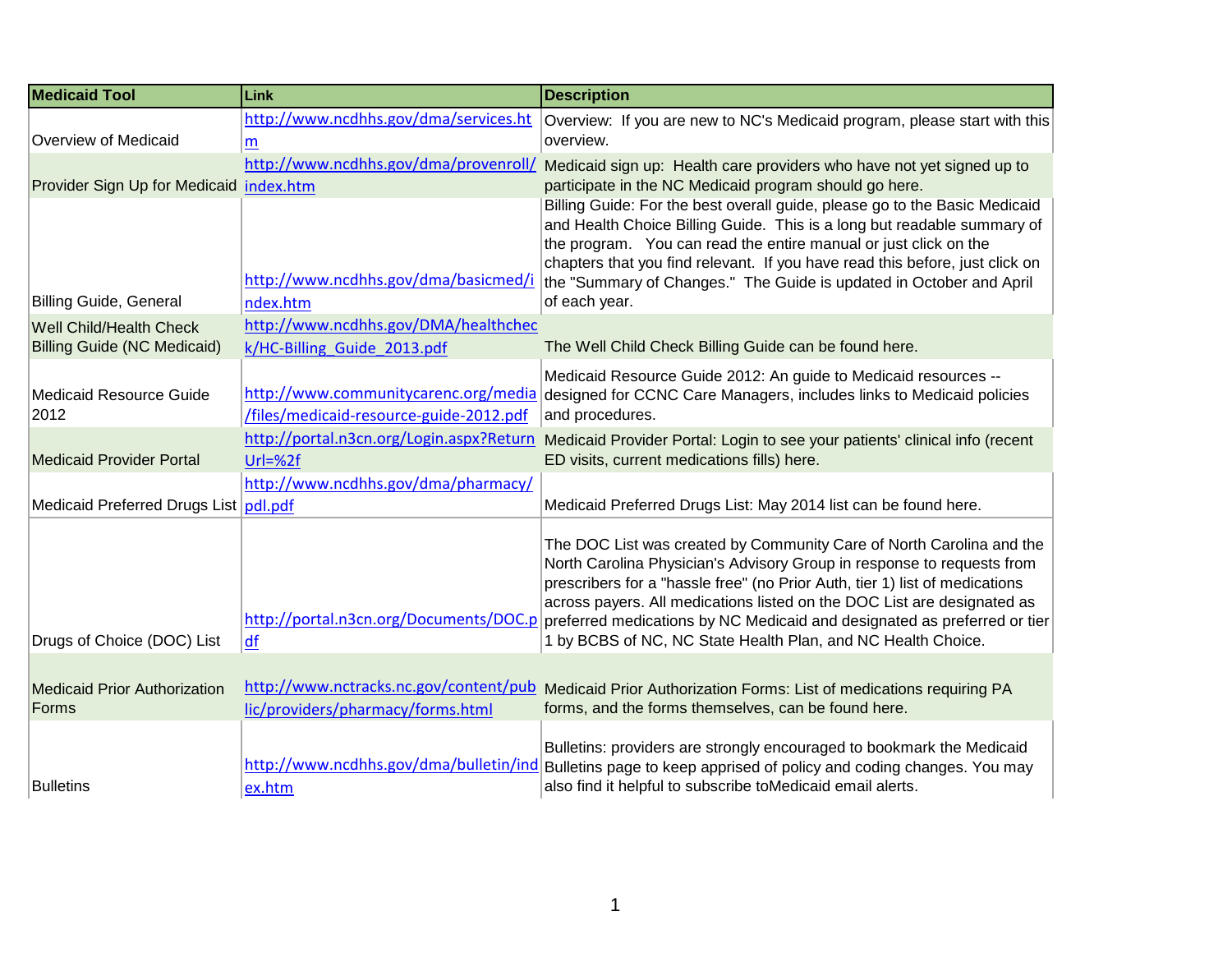| <b>Medicaid Tool</b>                         | Link                                                                        | <b>Description</b>                                                                                                                                                                                                                                                                                                                                                                                                                                                                          |
|----------------------------------------------|-----------------------------------------------------------------------------|---------------------------------------------------------------------------------------------------------------------------------------------------------------------------------------------------------------------------------------------------------------------------------------------------------------------------------------------------------------------------------------------------------------------------------------------------------------------------------------------|
| Overview of Medicaid                         | http://www.ncdhhs.gov/dma/services.ht<br>m                                  | Overview: If you are new to NC's Medicaid program, please start with this<br>overview.                                                                                                                                                                                                                                                                                                                                                                                                      |
| Provider Sign Up for Medicaid index.htm      | http://www.ncdhhs.gov/dma/provenroll/                                       | Medicaid sign up: Health care providers who have not yet signed up to<br>participate in the NC Medicaid program should go here.                                                                                                                                                                                                                                                                                                                                                             |
| Billing Guide, General                       | http://www.ncdhhs.gov/dma/basicmed/i<br>ndex.htm                            | Billing Guide: For the best overall guide, please go to the Basic Medicaid<br>and Health Choice Billing Guide. This is a long but readable summary of<br>the program. You can read the entire manual or just click on the<br>chapters that you find relevant. If you have read this before, just click on<br>the "Summary of Changes." The Guide is updated in October and April<br>of each year.                                                                                           |
| <b>Well Child/Health Check</b>               | http://www.ncdhhs.gov/DMA/healthchec                                        |                                                                                                                                                                                                                                                                                                                                                                                                                                                                                             |
| <b>Billing Guide (NC Medicaid)</b>           | k/HC-Billing Guide 2013.pdf                                                 | The Well Child Check Billing Guide can be found here.                                                                                                                                                                                                                                                                                                                                                                                                                                       |
| Medicaid Resource Guide<br>2012              | /files/medicaid-resource-guide-2012.pdf                                     | Medicaid Resource Guide 2012: An guide to Medicaid resources --<br>http://www.communitycarenc.org/media designed for CCNC Care Managers, includes links to Medicaid policies<br>and procedures.                                                                                                                                                                                                                                                                                             |
| <b>Medicaid Provider Portal</b>              | http://portal.n3cn.org/Login.aspx?Return<br>$Url = %2f$                     | Medicaid Provider Portal: Login to see your patients' clinical info (recent<br>ED visits, current medications fills) here.                                                                                                                                                                                                                                                                                                                                                                  |
| Medicaid Preferred Drugs List pdl.pdf        | http://www.ncdhhs.gov/dma/pharmacy/                                         | Medicaid Preferred Drugs List: May 2014 list can be found here.                                                                                                                                                                                                                                                                                                                                                                                                                             |
| Drugs of Choice (DOC) List                   | df                                                                          | The DOC List was created by Community Care of North Carolina and the<br>North Carolina Physician's Advisory Group in response to requests from<br>prescribers for a "hassle free" (no Prior Auth, tier 1) list of medications<br>across payers. All medications listed on the DOC List are designated as<br>http://portal.n3cn.org/Documents/DOC.p preferred medications by NC Medicaid and designated as preferred or tier<br>1 by BCBS of NC, NC State Health Plan, and NC Health Choice. |
| <b>Medicaid Prior Authorization</b><br>Forms | http://www.nctracks.nc.gov/content/pub<br>lic/providers/pharmacy/forms.html | Medicaid Prior Authorization Forms: List of medications requiring PA<br>forms, and the forms themselves, can be found here.                                                                                                                                                                                                                                                                                                                                                                 |
| <b>Bulletins</b>                             | http://www.ncdhhs.gov/dma/bulletin/ind<br>ex.htm                            | Bulletins: providers are strongly encouraged to bookmark the Medicaid<br>Bulletins page to keep apprised of policy and coding changes. You may<br>also find it helpful to subscribe toMedicaid email alerts.                                                                                                                                                                                                                                                                                |